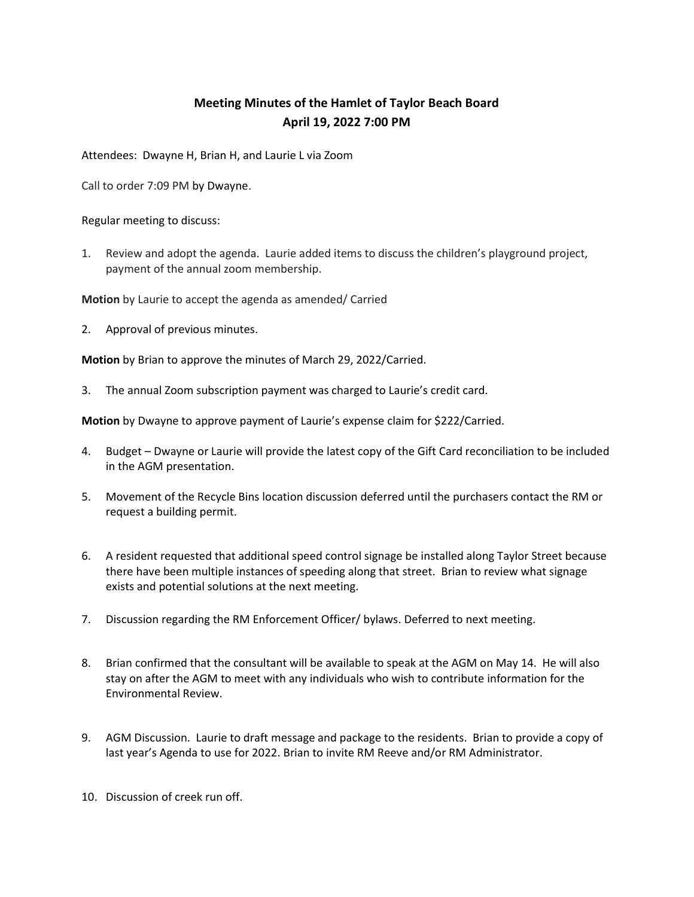## Meeting Minutes of the Hamlet of Taylor Beach Board April 19, 2022 7:00 PM

Attendees: Dwayne H, Brian H, and Laurie L via Zoom

Call to order 7:09 PM by Dwayne.

Regular meeting to discuss:

1. Review and adopt the agenda. Laurie added items to discuss the children's playground project, payment of the annual zoom membership.

Motion by Laurie to accept the agenda as amended/ Carried

2. Approval of previous minutes.

Motion by Brian to approve the minutes of March 29, 2022/Carried.

3. The annual Zoom subscription payment was charged to Laurie's credit card.

Motion by Dwayne to approve payment of Laurie's expense claim for \$222/Carried.

- 4. Budget Dwayne or Laurie will provide the latest copy of the Gift Card reconciliation to be included in the AGM presentation.
- 5. Movement of the Recycle Bins location discussion deferred until the purchasers contact the RM or request a building permit.
- 6. A resident requested that additional speed control signage be installed along Taylor Street because there have been multiple instances of speeding along that street. Brian to review what signage exists and potential solutions at the next meeting.
- 7. Discussion regarding the RM Enforcement Officer/ bylaws. Deferred to next meeting.
- 8. Brian confirmed that the consultant will be available to speak at the AGM on May 14. He will also stay on after the AGM to meet with any individuals who wish to contribute information for the Environmental Review.
- 9. AGM Discussion. Laurie to draft message and package to the residents. Brian to provide a copy of last year's Agenda to use for 2022. Brian to invite RM Reeve and/or RM Administrator.
- 10. Discussion of creek run off.